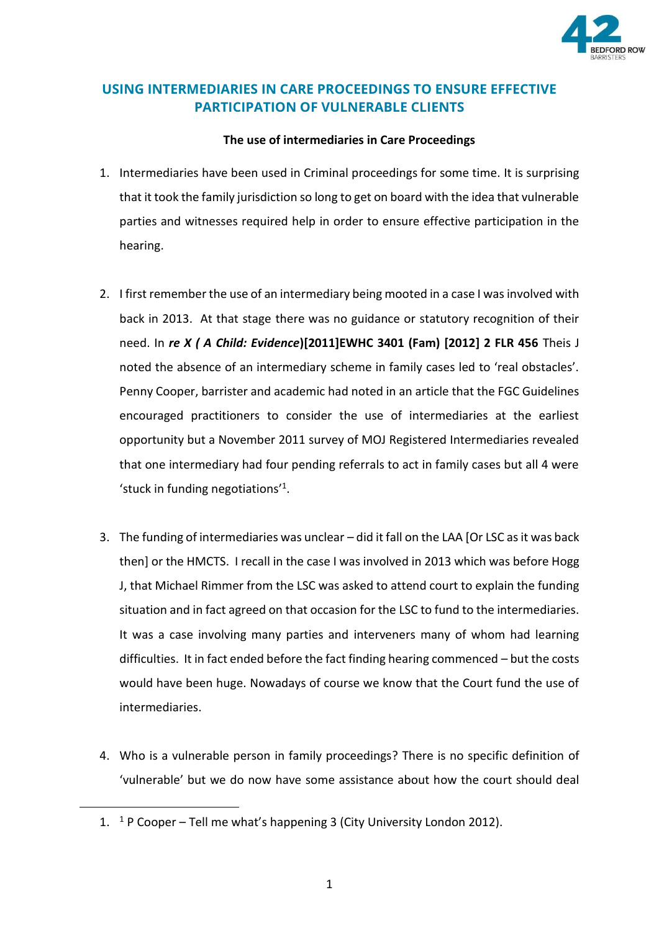

## **USING INTERMEDIARIES IN CARE PROCEEDINGS TO ENSURE EFFECTIVE PARTICIPATION OF VULNERABLE CLIENTS**

## **The use of intermediaries in Care Proceedings**

- 1. Intermediaries have been used in Criminal proceedings for some time. It is surprising that it took the family jurisdiction so long to get on board with the idea that vulnerable parties and witnesses required help in order to ensure effective participation in the hearing.
- 2. I first remember the use of an intermediary being mooted in a case I was involved with back in 2013. At that stage there was no guidance or statutory recognition of their need. In *re X ( A Child: Evidence***)[2011]EWHC 3401 (Fam) [2012] 2 FLR 456** Theis J noted the absence of an intermediary scheme in family cases led to 'real obstacles'. Penny Cooper, barrister and academic had noted in an article that the FGC Guidelines encouraged practitioners to consider the use of intermediaries at the earliest opportunity but a November 2011 survey of MOJ Registered Intermediaries revealed that one intermediary had four pending referrals to act in family cases but all 4 were 'stuck in funding negotiations'<sup>1</sup> .
- 3. The funding of intermediaries was unclear did it fall on the LAA [Or LSC as it was back then] or the HMCTS. I recall in the case I was involved in 2013 which was before Hogg J, that Michael Rimmer from the LSC was asked to attend court to explain the funding situation and in fact agreed on that occasion for the LSC to fund to the intermediaries. It was a case involving many parties and interveners many of whom had learning difficulties. It in fact ended before the fact finding hearing commenced – but the costs would have been huge. Nowadays of course we know that the Court fund the use of intermediaries.
- 4. Who is a vulnerable person in family proceedings? There is no specific definition of 'vulnerable' but we do now have some assistance about how the court should deal

<sup>1.</sup>  $1 \cdot P$  Cooper – Tell me what's happening 3 (City University London 2012).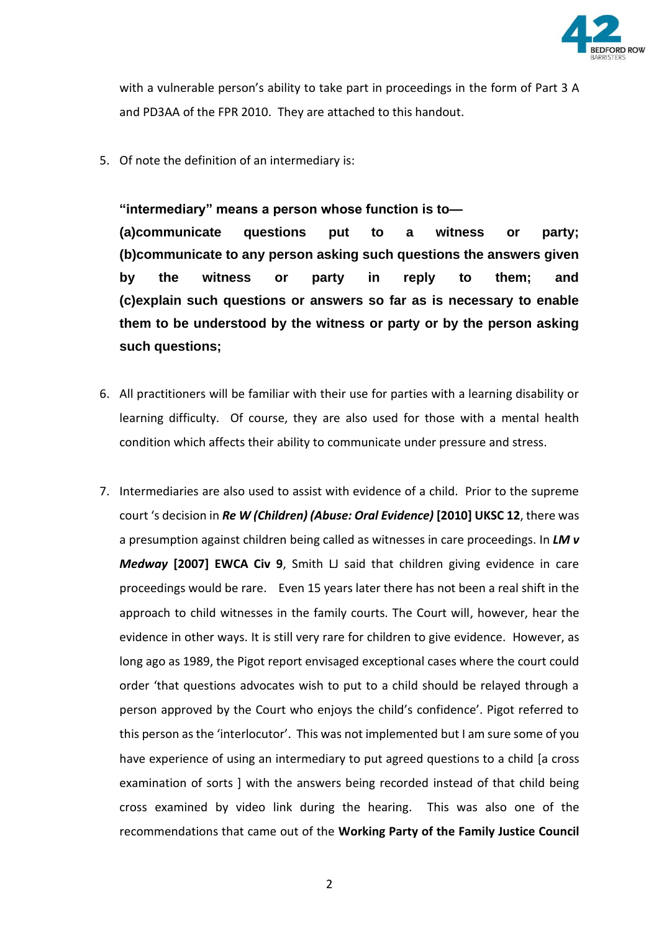

with a vulnerable person's ability to take part in proceedings in the form of Part 3 A and PD3AA of the FPR 2010. They are attached to this handout.

5. Of note the definition of an intermediary is:

**"intermediary" means a person whose function is to— (a)communicate questions put to a witness or party; (b)communicate to any person asking such questions the answers given by the witness or party in reply to them; and (c)explain such questions or answers so far as is necessary to enable them to be understood by the witness or party or by the person asking such questions;**

- 6. All practitioners will be familiar with their use for parties with a learning disability or learning difficulty. Of course, they are also used for those with a mental health condition which affects their ability to communicate under pressure and stress.
- 7. Intermediaries are also used to assist with evidence of a child. Prior to the supreme court 's decision in *Re W (Children) (Abuse: Oral Evidence)* **[2010] UKSC 12**, there was a presumption against children being called as witnesses in care proceedings. In *LM v Medway* **[2007] EWCA Civ 9**, Smith LJ said that children giving evidence in care proceedings would be rare. Even 15 years later there has not been a real shift in the approach to child witnesses in the family courts. The Court will, however, hear the evidence in other ways. It is still very rare for children to give evidence. However, as long ago as 1989, the Pigot report envisaged exceptional cases where the court could order 'that questions advocates wish to put to a child should be relayed through a person approved by the Court who enjoys the child's confidence'. Pigot referred to this person as the 'interlocutor'. This was not implemented but I am sure some of you have experience of using an intermediary to put agreed questions to a child [a cross examination of sorts ] with the answers being recorded instead of that child being cross examined by video link during the hearing. This was also one of the recommendations that came out of the **Working Party of the Family Justice Council**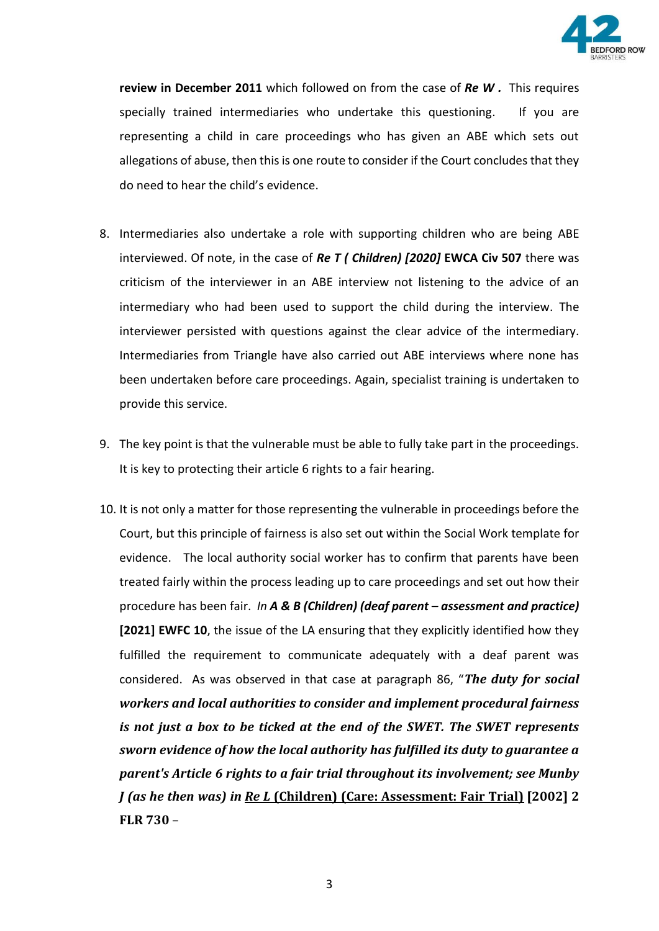

**review in December 2011** which followed on from the case of *Re W .* This requires specially trained intermediaries who undertake this questioning. If you are representing a child in care proceedings who has given an ABE which sets out allegations of abuse, then this is one route to consider if the Court concludes that they do need to hear the child's evidence.

- 8. Intermediaries also undertake a role with supporting children who are being ABE interviewed. Of note, in the case of *Re T ( Children) [2020]* **EWCA Civ 507** there was criticism of the interviewer in an ABE interview not listening to the advice of an intermediary who had been used to support the child during the interview. The interviewer persisted with questions against the clear advice of the intermediary. Intermediaries from Triangle have also carried out ABE interviews where none has been undertaken before care proceedings. Again, specialist training is undertaken to provide this service.
- 9. The key point is that the vulnerable must be able to fully take part in the proceedings. It is key to protecting their article 6 rights to a fair hearing.
- 10. It is not only a matter for those representing the vulnerable in proceedings before the Court, but this principle of fairness is also set out within the Social Work template for evidence. The local authority social worker has to confirm that parents have been treated fairly within the process leading up to care proceedings and set out how their procedure has been fair. *In A & B (Children) (deaf parent – assessment and practice)* **[2021] EWFC 10**, the issue of the LA ensuring that they explicitly identified how they fulfilled the requirement to communicate adequately with a deaf parent was considered. As was observed in that case at paragraph 86, "*The duty for social workers and local authorities to consider and implement procedural fairness is not just a box to be ticked at the end of the SWET. The SWET represents sworn evidence of how the local authority has fulfilled its duty to guarantee a parent's Article 6 rights to a fair trial throughout its involvement; see Munby J (as he then was) in Re L* **(Children) (Care: Assessment: Fair Trial) [2002] 2 FLR 730** –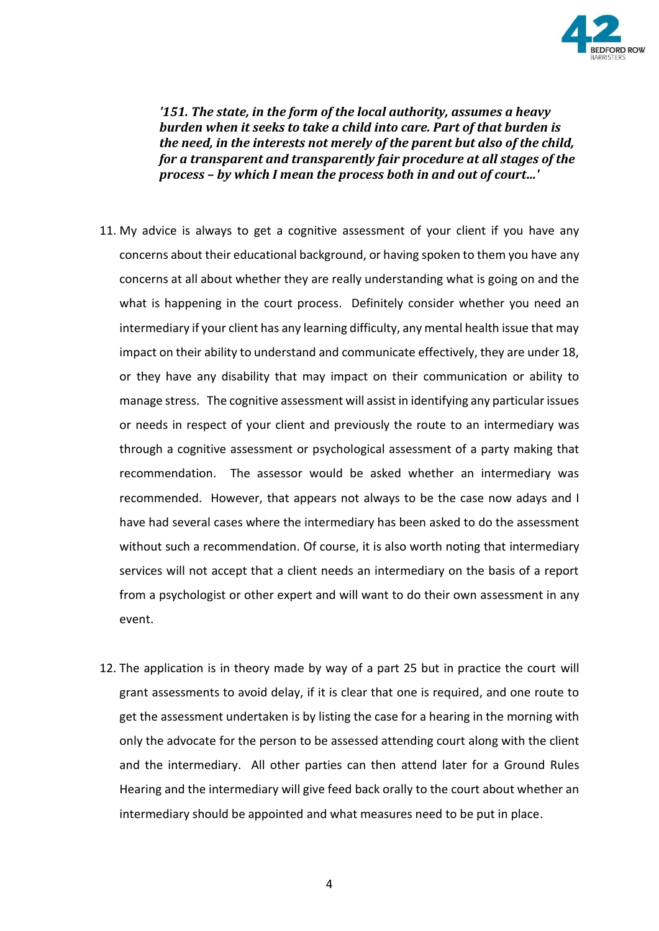

*'151. The state, in the form of the local authority, assumes a heavy burden when it seeks to take a child into care. Part of that burden is the need, in the interests not merely of the parent but also of the child, for a transparent and transparently fair procedure at all stages of the process – by which I mean the process both in and out of court…'*

- 11. My advice is always to get a cognitive assessment of your client if you have any concerns about their educational background, or having spoken to them you have any concerns at all about whether they are really understanding what is going on and the what is happening in the court process. Definitely consider whether you need an intermediary if your client has any learning difficulty, any mental health issue that may impact on their ability to understand and communicate effectively, they are under 18, or they have any disability that may impact on their communication or ability to manage stress. The cognitive assessment will assist in identifying any particular issues or needs in respect of your client and previously the route to an intermediary was through a cognitive assessment or psychological assessment of a party making that recommendation. The assessor would be asked whether an intermediary was recommended. However, that appears not always to be the case now adays and I have had several cases where the intermediary has been asked to do the assessment without such a recommendation. Of course, it is also worth noting that intermediary services will not accept that a client needs an intermediary on the basis of a report from a psychologist or other expert and will want to do their own assessment in any event.
- 12. The application is in theory made by way of a part 25 but in practice the court will grant assessments to avoid delay, if it is clear that one is required, and one route to get the assessment undertaken is by listing the case for a hearing in the morning with only the advocate for the person to be assessed attending court along with the client and the intermediary. All other parties can then attend later for a Ground Rules Hearing and the intermediary will give feed back orally to the court about whether an intermediary should be appointed and what measures need to be put in place.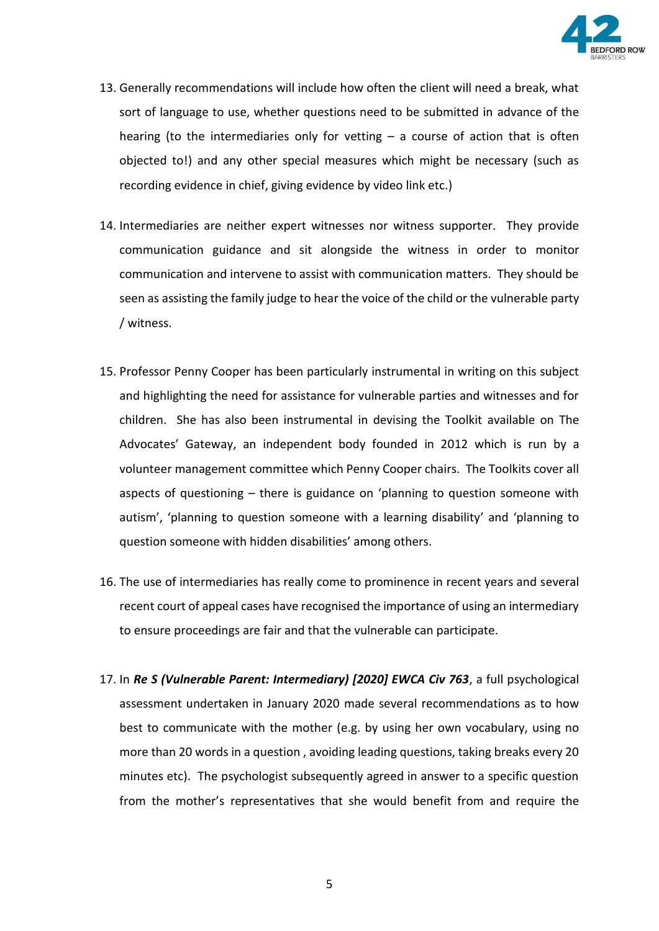

- 13. Generally recommendations will include how often the client will need a break, what sort of language to use, whether questions need to be submitted in advance of the hearing (to the intermediaries only for vetting  $-$  a course of action that is often objected to!) and any other special measures which might be necessary (such as recording evidence in chief, giving evidence by video link etc.)
- 14. Intermediaries are neither expert witnesses nor witness supporter. They provide communication guidance and sit alongside the witness in order to monitor communication and intervene to assist with communication matters. They should be seen as assisting the family judge to hear the voice of the child or the vulnerable party / witness.
- 15. Professor Penny Cooper has been particularly instrumental in writing on this subject and highlighting the need for assistance for vulnerable parties and witnesses and for children. She has also been instrumental in devising the Toolkit available on The Advocates' Gateway, an independent body founded in 2012 which is run by a volunteer management committee which Penny Cooper chairs. The Toolkits cover all aspects of questioning – there is guidance on 'planning to question someone with autism', 'planning to question someone with a learning disability' and 'planning to question someone with hidden disabilities' among others.
- 16. The use of intermediaries has really come to prominence in recent years and several recent court of appeal cases have recognised the importance of using an intermediary to ensure proceedings are fair and that the vulnerable can participate.
- 17. In *Re S (Vulnerable Parent: Intermediary) [2020] EWCA Civ 763*, a full psychological assessment undertaken in January 2020 made several recommendations as to how best to communicate with the mother (e.g. by using her own vocabulary, using no more than 20 words in a question , avoiding leading questions, taking breaks every 20 minutes etc). The psychologist subsequently agreed in answer to a specific question from the mother's representatives that she would benefit from and require the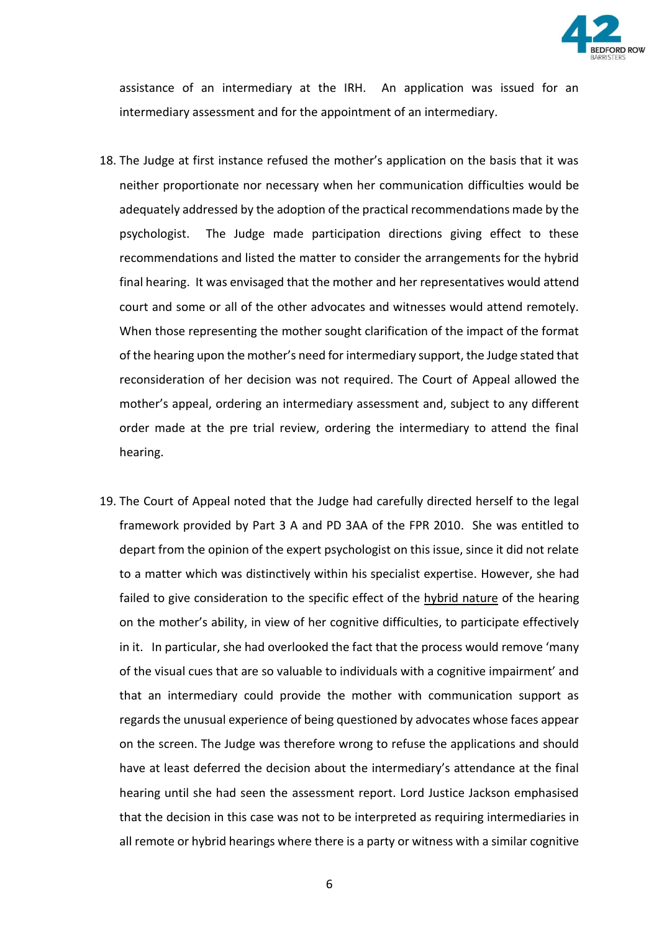

assistance of an intermediary at the IRH. An application was issued for an intermediary assessment and for the appointment of an intermediary.

- 18. The Judge at first instance refused the mother's application on the basis that it was neither proportionate nor necessary when her communication difficulties would be adequately addressed by the adoption of the practical recommendations made by the psychologist. The Judge made participation directions giving effect to these recommendations and listed the matter to consider the arrangements for the hybrid final hearing. It was envisaged that the mother and her representatives would attend court and some or all of the other advocates and witnesses would attend remotely. When those representing the mother sought clarification of the impact of the format of the hearing upon the mother's need for intermediary support, the Judge stated that reconsideration of her decision was not required. The Court of Appeal allowed the mother's appeal, ordering an intermediary assessment and, subject to any different order made at the pre trial review, ordering the intermediary to attend the final hearing.
- 19. The Court of Appeal noted that the Judge had carefully directed herself to the legal framework provided by Part 3 A and PD 3AA of the FPR 2010. She was entitled to depart from the opinion of the expert psychologist on this issue, since it did not relate to a matter which was distinctively within his specialist expertise. However, she had failed to give consideration to the specific effect of the hybrid nature of the hearing on the mother's ability, in view of her cognitive difficulties, to participate effectively in it. In particular, she had overlooked the fact that the process would remove 'many of the visual cues that are so valuable to individuals with a cognitive impairment' and that an intermediary could provide the mother with communication support as regards the unusual experience of being questioned by advocates whose faces appear on the screen. The Judge was therefore wrong to refuse the applications and should have at least deferred the decision about the intermediary's attendance at the final hearing until she had seen the assessment report. Lord Justice Jackson emphasised that the decision in this case was not to be interpreted as requiring intermediaries in all remote or hybrid hearings where there is a party or witness with a similar cognitive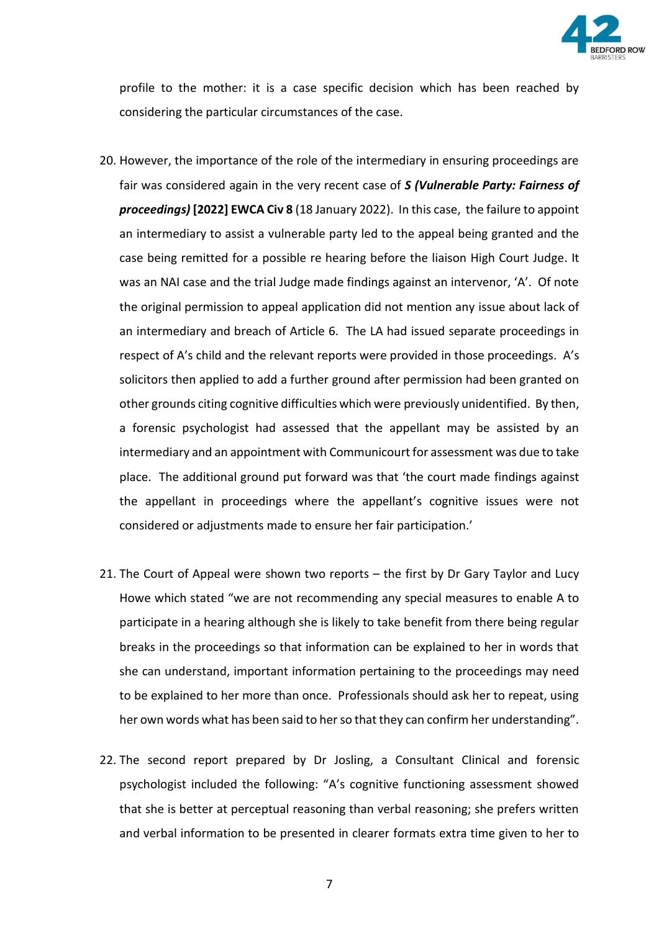

profile to the mother: it is a case specific decision which has been reached by considering the particular circumstances of the case.

- 20. However, the importance of the role of the intermediary in ensuring proceedings are fair was considered again in the very recent case of *S (Vulnerable Party: Fairness of proceedings)* **[2022] EWCA Civ 8** (18 January 2022). In this case, the failure to appoint an intermediary to assist a vulnerable party led to the appeal being granted and the case being remitted for a possible re hearing before the liaison High Court Judge. It was an NAI case and the trial Judge made findings against an intervenor, 'A'. Of note the original permission to appeal application did not mention any issue about lack of an intermediary and breach of Article 6. The LA had issued separate proceedings in respect of A's child and the relevant reports were provided in those proceedings. A's solicitors then applied to add a further ground after permission had been granted on other grounds citing cognitive difficulties which were previously unidentified. By then, a forensic psychologist had assessed that the appellant may be assisted by an intermediary and an appointment with Communicourt for assessment was due to take place. The additional ground put forward was that 'the court made findings against the appellant in proceedings where the appellant's cognitive issues were not considered or adjustments made to ensure her fair participation.'
- 21. The Court of Appeal were shown two reports the first by Dr Gary Taylor and Lucy Howe which stated "we are not recommending any special measures to enable A to participate in a hearing although she is likely to take benefit from there being regular breaks in the proceedings so that information can be explained to her in words that she can understand, important information pertaining to the proceedings may need to be explained to her more than once. Professionals should ask her to repeat, using her own words what has been said to her so that they can confirm her understanding".
- 22. The second report prepared by Dr Josling, a Consultant Clinical and forensic psychologist included the following: "A's cognitive functioning assessment showed that she is better at perceptual reasoning than verbal reasoning; she prefers written and verbal information to be presented in clearer formats extra time given to her to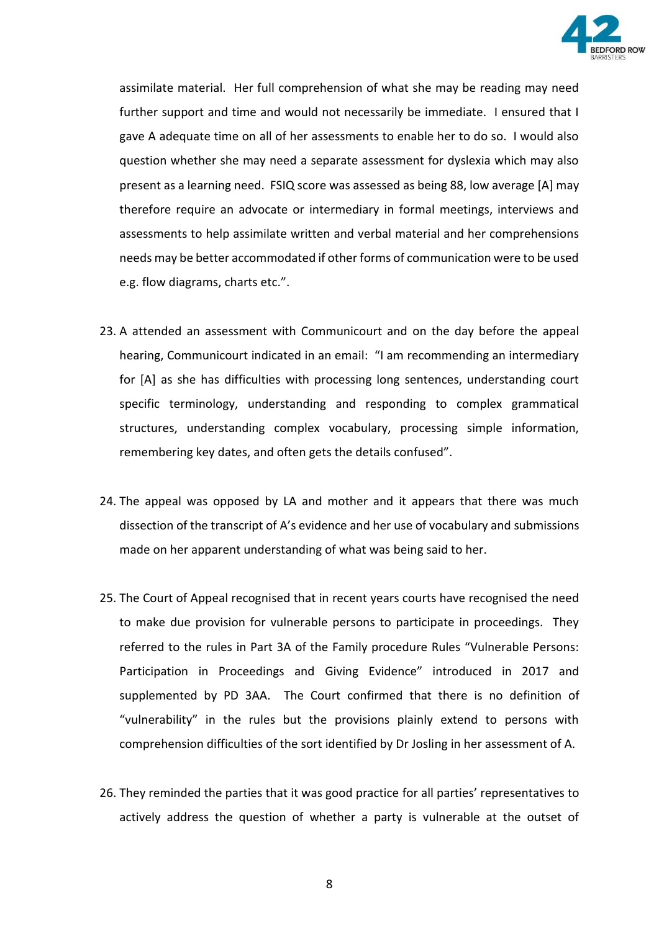

assimilate material. Her full comprehension of what she may be reading may need further support and time and would not necessarily be immediate. I ensured that I gave A adequate time on all of her assessments to enable her to do so. I would also question whether she may need a separate assessment for dyslexia which may also present as a learning need. FSIQ score was assessed as being 88, low average [A] may therefore require an advocate or intermediary in formal meetings, interviews and assessments to help assimilate written and verbal material and her comprehensions needs may be better accommodated if other forms of communication were to be used e.g. flow diagrams, charts etc.".

- 23. A attended an assessment with Communicourt and on the day before the appeal hearing, Communicourt indicated in an email: "I am recommending an intermediary for [A] as she has difficulties with processing long sentences, understanding court specific terminology, understanding and responding to complex grammatical structures, understanding complex vocabulary, processing simple information, remembering key dates, and often gets the details confused".
- 24. The appeal was opposed by LA and mother and it appears that there was much dissection of the transcript of A's evidence and her use of vocabulary and submissions made on her apparent understanding of what was being said to her.
- 25. The Court of Appeal recognised that in recent years courts have recognised the need to make due provision for vulnerable persons to participate in proceedings. They referred to the rules in Part 3A of the Family procedure Rules "Vulnerable Persons: Participation in Proceedings and Giving Evidence" introduced in 2017 and supplemented by PD 3AA. The Court confirmed that there is no definition of "vulnerability" in the rules but the provisions plainly extend to persons with comprehension difficulties of the sort identified by Dr Josling in her assessment of A.
- 26. They reminded the parties that it was good practice for all parties' representatives to actively address the question of whether a party is vulnerable at the outset of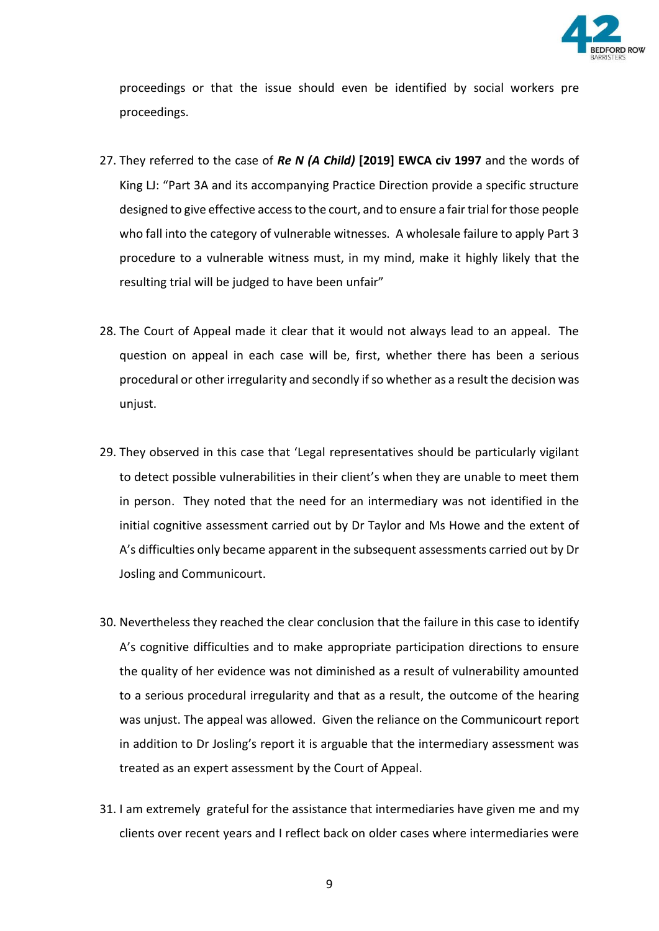

proceedings or that the issue should even be identified by social workers pre proceedings.

- 27. They referred to the case of *Re N (A Child)* **[2019] EWCA civ 1997** and the words of King LJ: "Part 3A and its accompanying Practice Direction provide a specific structure designed to give effective access to the court, and to ensure a fair trial for those people who fall into the category of vulnerable witnesses. A wholesale failure to apply Part 3 procedure to a vulnerable witness must, in my mind, make it highly likely that the resulting trial will be judged to have been unfair"
- 28. The Court of Appeal made it clear that it would not always lead to an appeal. The question on appeal in each case will be, first, whether there has been a serious procedural or other irregularity and secondly if so whether as a result the decision was unjust.
- 29. They observed in this case that 'Legal representatives should be particularly vigilant to detect possible vulnerabilities in their client's when they are unable to meet them in person. They noted that the need for an intermediary was not identified in the initial cognitive assessment carried out by Dr Taylor and Ms Howe and the extent of A's difficulties only became apparent in the subsequent assessments carried out by Dr Josling and Communicourt.
- 30. Nevertheless they reached the clear conclusion that the failure in this case to identify A's cognitive difficulties and to make appropriate participation directions to ensure the quality of her evidence was not diminished as a result of vulnerability amounted to a serious procedural irregularity and that as a result, the outcome of the hearing was unjust. The appeal was allowed. Given the reliance on the Communicourt report in addition to Dr Josling's report it is arguable that the intermediary assessment was treated as an expert assessment by the Court of Appeal.
- 31. I am extremely grateful for the assistance that intermediaries have given me and my clients over recent years and I reflect back on older cases where intermediaries were